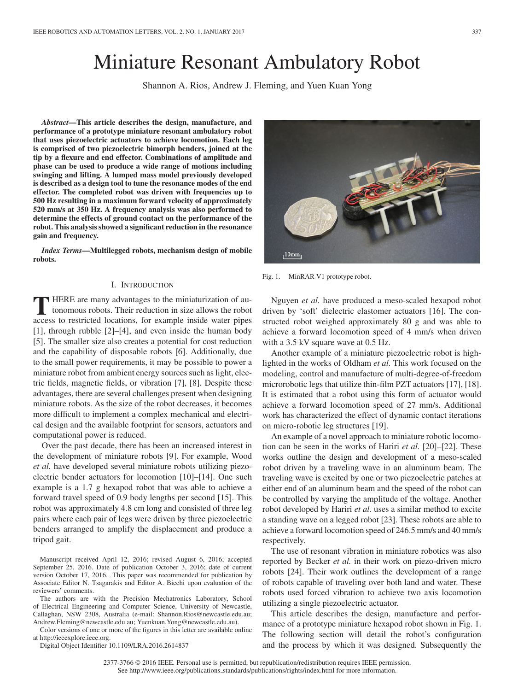# Miniature Resonant Ambulatory Robot

Shannon A. Rios, Andrew J. Fleming, and Yuen Kuan Yong

*Abstract***—This article describes the design, manufacture, and performance of a prototype miniature resonant ambulatory robot that uses piezoelectric actuators to achieve locomotion. Each leg is comprised of two piezoelectric bimorph benders, joined at the tip by a flexure and end effector. Combinations of amplitude and phase can be used to produce a wide range of motions including swinging and lifting. A lumped mass model previously developed is described as a design tool to tune the resonance modes of the end effector. The completed robot was driven with frequencies up to 500 Hz resulting in a maximum forward velocity of approximately 520 mm/s at 350 Hz. A frequency analysis was also performed to determine the effects of ground contact on the performance of the robot. This analysis showed a significant reduction in the resonance gain and frequency.**

*Index Terms***—Multilegged robots, mechanism design of mobile robots.**

#### I. INTRODUCTION

**T** HERE are many advantages to the miniaturization of autonomous robots. Their reduction in size allows the robot access to restricted locations, for example inside water pipes [1], through rubble [2]–[4], and even inside the human body [5]. The smaller size also creates a potential for cost reduction and the capability of disposable robots [6]. Additionally, due to the small power requirements, it may be possible to power a miniature robot from ambient energy sources such as light, electric fields, magnetic fields, or vibration [7], [8]. Despite these advantages, there are several challenges present when designing miniature robots. As the size of the robot decreases, it becomes more difficult to implement a complex mechanical and electrical design and the available footprint for sensors, actuators and computational power is reduced.

Over the past decade, there has been an increased interest in the development of miniature robots [9]. For example, Wood *et al.* have developed several miniature robots utilizing piezoelectric bender actuators for locomotion [10]–[14]. One such example is a 1.7 g hexapod robot that was able to achieve a forward travel speed of 0.9 body lengths per second [15]. This robot was approximately 4.8 cm long and consisted of three leg pairs where each pair of legs were driven by three piezoelectric benders arranged to amplify the displacement and produce a tripod gait.

Manuscript received April 12, 2016; revised August 6, 2016; accepted September 25, 2016. Date of publication October 3, 2016; date of current version October 17, 2016. This paper was recommended for publication by Associate Editor N. Tsagarakis and Editor A. Bicchi upon evaluation of the reviewers' comments.

The authors are with the Precision Mechatronics Laboratory, School of Electrical Engineering and Computer Science, University of Newcastle, Callaghan, NSW 2308, Australia (e-mail: Shannon.Rios@newcastle.edu.au; Andrew.Fleming@newcastle.edu.au; Yuenkuan.Yong@newcastle.edu.au).

Color versions of one or more of the figures in this letter are available online at http://ieeexplore.ieee.org.

Digital Object Identifier 10.1109/LRA.2016.2614837

 $10mm$ 

Fig. 1. MinRAR V1 prototype robot.

Nguyen *et al.* have produced a meso-scaled hexapod robot driven by 'soft' dielectric elastomer actuators [16]. The constructed robot weighed approximately 80 g and was able to achieve a forward locomotion speed of 4 mm/s when driven with a 3.5 kV square wave at 0.5 Hz.

Another example of a miniature piezoelectric robot is highlighted in the works of Oldham *et al.* This work focused on the modeling, control and manufacture of multi-degree-of-freedom microrobotic legs that utilize thin-film PZT actuators [17], [18]. It is estimated that a robot using this form of actuator would achieve a forward locomotion speed of 27 mm/s. Additional work has characterized the effect of dynamic contact iterations on micro-robotic leg structures [19].

An example of a novel approach to miniature robotic locomotion can be seen in the works of Hariri *et al.* [20]–[22]. These works outline the design and development of a meso-scaled robot driven by a traveling wave in an aluminum beam. The traveling wave is excited by one or two piezoelectric patches at either end of an aluminum beam and the speed of the robot can be controlled by varying the amplitude of the voltage. Another robot developed by Hariri *et al.* uses a similar method to excite a standing wave on a legged robot [23]. These robots are able to achieve a forward locomotion speed of 246.5 mm/s and 40 mm/s respectively.

The use of resonant vibration in miniature robotics was also reported by Becker *et al.* in their work on piezo-driven micro robots [24]. Their work outlines the development of a range of robots capable of traveling over both land and water. These robots used forced vibration to achieve two axis locomotion utilizing a single piezoelectric actuator.

This article describes the design, manufacture and performance of a prototype miniature hexapod robot shown in Fig. 1. The following section will detail the robot's configuration and the process by which it was designed. Subsequently the



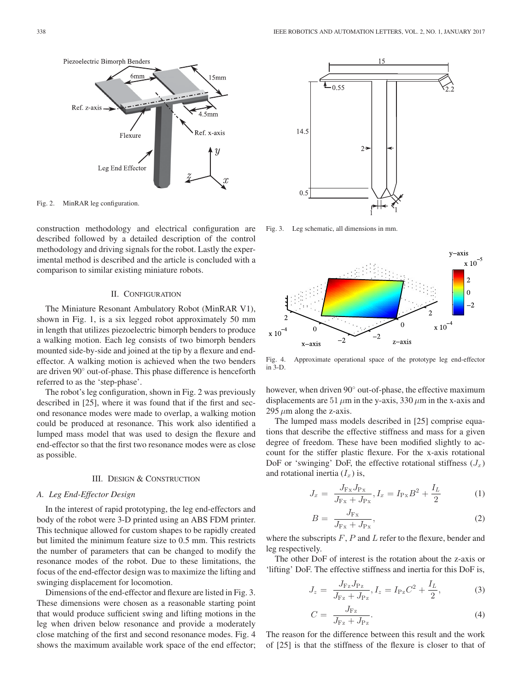

Fig. 2. MinRAR leg configuration.

construction methodology and electrical configuration are described followed by a detailed description of the control methodology and driving signals for the robot. Lastly the experimental method is described and the article is concluded with a comparison to similar existing miniature robots.

#### II. CONFIGURATION

The Miniature Resonant Ambulatory Robot (MinRAR V1), shown in Fig. 1, is a six legged robot approximately 50 mm in length that utilizes piezoelectric bimorph benders to produce a walking motion. Each leg consists of two bimorph benders mounted side-by-side and joined at the tip by a flexure and endeffector. A walking motion is achieved when the two benders are driven 90◦ out-of-phase. This phase difference is henceforth referred to as the 'step-phase'.

The robot's leg configuration, shown in Fig. 2 was previously described in [25], where it was found that if the first and second resonance modes were made to overlap, a walking motion could be produced at resonance. This work also identified a lumped mass model that was used to design the flexure and end-effector so that the first two resonance modes were as close as possible.

## III. DESIGN & CONSTRUCTION

# *A. Leg End-Effector Design*

In the interest of rapid prototyping, the leg end-effectors and body of the robot were 3-D printed using an ABS FDM printer. This technique allowed for custom shapes to be rapidly created but limited the minimum feature size to 0.5 mm. This restricts the number of parameters that can be changed to modify the resonance modes of the robot. Due to these limitations, the focus of the end-effector design was to maximize the lifting and swinging displacement for locomotion.

Dimensions of the end-effector and flexure are listed in Fig. 3. These dimensions were chosen as a reasonable starting point that would produce sufficient swing and lifting motions in the leg when driven below resonance and provide a moderately close matching of the first and second resonance modes. Fig. 4 shows the maximum available work space of the end effector;



Fig. 3. Leg schematic, all dimensions in mm.



Fig. 4. Approximate operational space of the prototype leg end-effector in 3-D.

however, when driven 90◦ out-of-phase, the effective maximum displacements are 51  $\mu$ m in the y-axis, 330  $\mu$ m in the x-axis and 295  $\mu$ m along the z-axis.

The lumped mass models described in [25] comprise equations that describe the effective stiffness and mass for a given degree of freedom. These have been modified slightly to account for the stiffer plastic flexure. For the x-axis rotational DoF or 'swinging' DoF, the effective rotational stiffness  $(J_x)$ and rotational inertia  $(I_x)$  is,

$$
J_x = \frac{J_{\rm Fx} J_{\rm Px}}{J_{\rm Fx} + J_{\rm Px}}, I_x = I_{\rm Px} B^2 + \frac{I_L}{2}
$$
 (1)

$$
B = \frac{J_{\text{Fx}}}{J_{\text{Fx}} + J_{\text{Px}}},\tag{2}
$$

where the subscripts  $F$ ,  $P$  and  $L$  refer to the flexure, bender and leg respectively.

The other DoF of interest is the rotation about the z-axis or 'lifting' DoF. The effective stiffness and inertia for this DoF is,

$$
J_z = \frac{J_{\rm Fz} J_{\rm Pz}}{J_{\rm Fz} + J_{\rm Pz}}, I_z = I_{\rm Pz} C^2 + \frac{I_L}{2},\tag{3}
$$

$$
C = \frac{J_{\mathrm{Fz}}}{J_{\mathrm{Fz}} + J_{\mathrm{Pz}}}.\tag{4}
$$

The reason for the difference between this result and the work of [25] is that the stiffness of the flexure is closer to that of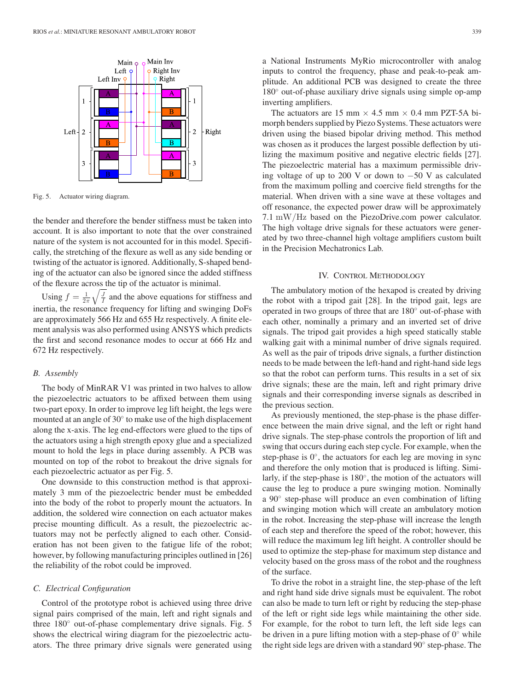

Fig. 5. Actuator wiring diagram.

the bender and therefore the bender stiffness must be taken into account. It is also important to note that the over constrained nature of the system is not accounted for in this model. Specifically, the stretching of the flexure as well as any side bending or twisting of the actuator is ignored. Additionally, S-shaped bending of the actuator can also be ignored since the added stiffness of the flexure across the tip of the actuator is minimal.

Using  $f = \frac{1}{2\pi} \sqrt{\frac{J}{I}}$  and the above equations for stiffness and inertia, the resonance frequency for lifting and swinging DoFs are approximately 566 Hz and 655 Hz respectively. A finite element analysis was also performed using ANSYS which predicts the first and second resonance modes to occur at 666 Hz and 672 Hz respectively.

# *B. Assembly*

The body of MinRAR V1 was printed in two halves to allow the piezoelectric actuators to be affixed between them using two-part epoxy. In order to improve leg lift height, the legs were mounted at an angle of 30◦ to make use of the high displacement along the x-axis. The leg end-effectors were glued to the tips of the actuators using a high strength epoxy glue and a specialized mount to hold the legs in place during assembly. A PCB was mounted on top of the robot to breakout the drive signals for each piezoelectric actuator as per Fig. 5.

One downside to this construction method is that approximately 3 mm of the piezoelectric bender must be embedded into the body of the robot to properly mount the actuators. In addition, the soldered wire connection on each actuator makes precise mounting difficult. As a result, the piezoelectric actuators may not be perfectly aligned to each other. Consideration has not been given to the fatigue life of the robot; however, by following manufacturing principles outlined in [26] the reliability of the robot could be improved.

## *C. Electrical Configuration*

Control of the prototype robot is achieved using three drive signal pairs comprised of the main, left and right signals and three 180◦ out-of-phase complementary drive signals. Fig. 5 shows the electrical wiring diagram for the piezoelectric actuators. The three primary drive signals were generated using a National Instruments MyRio microcontroller with analog inputs to control the frequency, phase and peak-to-peak amplitude. An additional PCB was designed to create the three 180◦ out-of-phase auxiliary drive signals using simple op-amp inverting amplifiers.

The actuators are 15 mm  $\times$  4.5 mm  $\times$  0.4 mm PZT-5A bimorph benders supplied by Piezo Systems. These actuators were driven using the biased bipolar driving method. This method was chosen as it produces the largest possible deflection by utilizing the maximum positive and negative electric fields [27]. The piezoelectric material has a maximum permissible driving voltage of up to 200 V or down to −50 V as calculated from the maximum polling and coercive field strengths for the material. When driven with a sine wave at these voltages and off resonance, the expected power draw will be approximately 7.1 mW/Hz based on the PiezoDrive.com power calculator. The high voltage drive signals for these actuators were generated by two three-channel high voltage amplifiers custom built in the Precision Mechatronics Lab.

#### IV. CONTROL METHODOLOGY

The ambulatory motion of the hexapod is created by driving the robot with a tripod gait [28]. In the tripod gait, legs are operated in two groups of three that are 180◦ out-of-phase with each other, nominally a primary and an inverted set of drive signals. The tripod gait provides a high speed statically stable walking gait with a minimal number of drive signals required. As well as the pair of tripods drive signals, a further distinction needs to be made between the left-hand and right-hand side legs so that the robot can perform turns. This results in a set of six drive signals; these are the main, left and right primary drive signals and their corresponding inverse signals as described in the previous section.

As previously mentioned, the step-phase is the phase difference between the main drive signal, and the left or right hand drive signals. The step-phase controls the proportion of lift and swing that occurs during each step cycle. For example, when the step-phase is  $0^\circ$ , the actuators for each leg are moving in sync and therefore the only motion that is produced is lifting. Similarly, if the step-phase is 180◦, the motion of the actuators will cause the leg to produce a pure swinging motion. Nominally a 90◦ step-phase will produce an even combination of lifting and swinging motion which will create an ambulatory motion in the robot. Increasing the step-phase will increase the length of each step and therefore the speed of the robot; however, this will reduce the maximum leg lift height. A controller should be used to optimize the step-phase for maximum step distance and velocity based on the gross mass of the robot and the roughness of the surface.

To drive the robot in a straight line, the step-phase of the left and right hand side drive signals must be equivalent. The robot can also be made to turn left or right by reducing the step-phase of the left or right side legs while maintaining the other side. For example, for the robot to turn left, the left side legs can be driven in a pure lifting motion with a step-phase of  $0°$  while the right side legs are driven with a standard 90◦ step-phase. The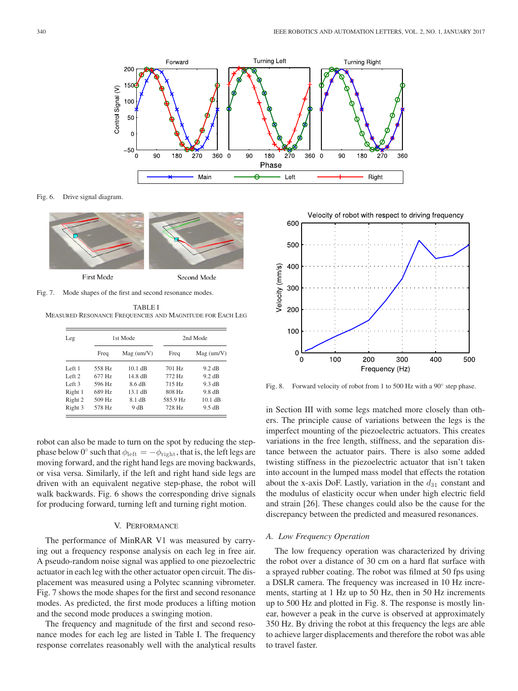

Fig. 6. Drive signal diagram.



Fig. 7. Mode shapes of the first and second resonance modes.

TABLE I MEASURED RESONANCE FREQUENCIES AND MAGNITUDE FOR EACH LEG

| Leg      | 1st Mode |                   | 2nd Mode |                  |
|----------|----------|-------------------|----------|------------------|
|          | Freq     | Mag (um/V)        | Freq     | Mag (um/V)       |
| Left 1   | 558 Hz   | 10.1 dB           | 701 Hz   | 9.2 dB           |
| Left $2$ | 677 Hz   | $14.8 \text{ dB}$ | $772$ Hz | 9.2 dB           |
| Left $3$ | 596 Hz   | 8.6 dB            | 715 Hz   | $9.3 \text{ dB}$ |
| Right 1  | 689 Hz   | $13.1 \text{ dB}$ | 808 Hz   | $9.8 \text{ dB}$ |
| Right 2  | 509 Hz   | 8.1 dB            | 585.9 Hz | 10.1 dB          |
| Right 3  | 578 Hz   | 9 dB              | 728 Hz   | 9.5 dB           |

robot can also be made to turn on the spot by reducing the stepphase below 0° such that  $\phi_{\text{left}} = -\phi_{\text{right}}$ , that is, the left legs are moving forward, and the right hand legs are moving backwards, or visa versa. Similarly, if the left and right hand side legs are driven with an equivalent negative step-phase, the robot will walk backwards. Fig. 6 shows the corresponding drive signals for producing forward, turning left and turning right motion.

## V. PERFORMANCE

The performance of MinRAR V1 was measured by carrying out a frequency response analysis on each leg in free air. A pseudo-random noise signal was applied to one piezoelectric actuator in each leg with the other actuator open circuit. The displacement was measured using a Polytec scanning vibrometer. Fig. 7 shows the mode shapes for the first and second resonance modes. As predicted, the first mode produces a lifting motion and the second mode produces a swinging motion.

The frequency and magnitude of the first and second resonance modes for each leg are listed in Table I. The frequency response correlates reasonably well with the analytical results



Fig. 8. Forward velocity of robot from 1 to 500 Hz with a 90 $^{\circ}$  step phase.

in Section III with some legs matched more closely than others. The principle cause of variations between the legs is the imperfect mounting of the piezoelectric actuators. This creates variations in the free length, stiffness, and the separation distance between the actuator pairs. There is also some added twisting stiffness in the piezoelectric actuator that isn't taken into account in the lumped mass model that effects the rotation about the x-axis DoF. Lastly, variation in the  $d_{31}$  constant and the modulus of elasticity occur when under high electric field and strain [26]. These changes could also be the cause for the discrepancy between the predicted and measured resonances.

# *A. Low Frequency Operation*

The low frequency operation was characterized by driving the robot over a distance of 30 cm on a hard flat surface with a sprayed rubber coating. The robot was filmed at 50 fps using a DSLR camera. The frequency was increased in 10 Hz increments, starting at 1 Hz up to 50 Hz, then in 50 Hz increments up to 500 Hz and plotted in Fig. 8. The response is mostly linear, however a peak in the curve is observed at approximately 350 Hz. By driving the robot at this frequency the legs are able to achieve larger displacements and therefore the robot was able to travel faster.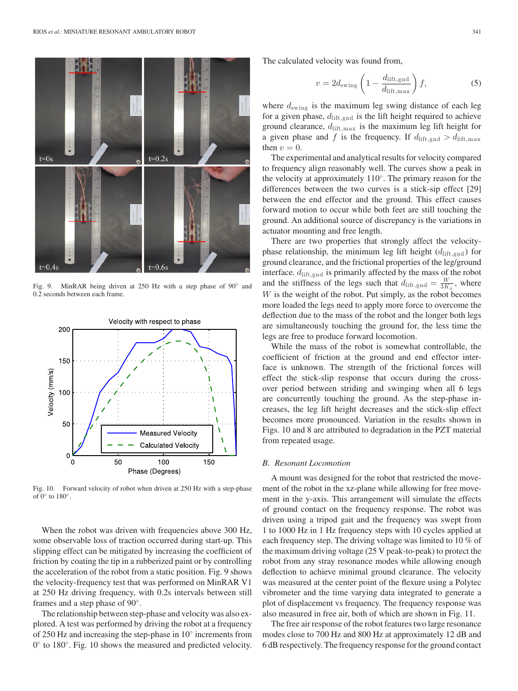$t=0s$ 

 $= 0.4$ 



 $t=0.2s$ 

 $=0.6$ 



Fig. 10. Forward velocity of robot when driven at 250 Hz with a step-phase of 0◦ to 180◦.

When the robot was driven with frequencies above 300 Hz, some observable loss of traction occurred during start-up. This slipping effect can be mitigated by increasing the coefficient of friction by coating the tip in a rubberized paint or by controlling the acceleration of the robot from a static position. Fig. 9 shows the velocity-frequency test that was performed on MinRAR V1 at 250 Hz driving frequency, with 0.2s intervals between still frames and a step phase of 90◦.

The relationship between step-phase and velocity was also explored. A test was performed by driving the robot at a frequency of 250 Hz and increasing the step-phase in 10◦ increments from 0◦ to 180◦. Fig. 10 shows the measured and predicted velocity. The calculated velocity was found from,

$$
v = 2d_{\text{swing}} \left( 1 - \frac{d_{\text{lift, grad}}}{d_{\text{lift, max}}} \right) f,\tag{5}
$$

where  $d_{\text{swing}}$  is the maximum leg swing distance of each leg for a given phase,  $d_{\text{lift,gnd}}$  is the lift height required to achieve ground clearance,  $d_{\text{lift,max}}$  is the maximum leg lift height for a given phase and f is the frequency. If  $d_{\text{lift,grad}} > d_{\text{lift,max}}$ then  $v = 0$ .

The experimental and analytical results for velocity compared to frequency align reasonably well. The curves show a peak in the velocity at approximately 110◦. The primary reason for the differences between the two curves is a stick-sip effect [29] between the end effector and the ground. This effect causes forward motion to occur while both feet are still touching the ground. An additional source of discrepancy is the variations in actuator mounting and free length.

There are two properties that strongly affect the velocityphase relationship, the minimum leg lift height  $(d_{\text{lift},\text{end}})$  for ground clearance, and the frictional properties of the leg/ground interface.  $d_{\text{lift,gnd}}$  is primarily affected by the mass of the robot and the stiffness of the legs such that  $d_{\text{lift,gnd}} = \frac{W}{3K_y}$ , where  $W$  is the weight of the robot. Put simply, as the robot becomes more loaded the legs need to apply more force to overcome the deflection due to the mass of the robot and the longer both legs are simultaneously touching the ground for, the less time the legs are free to produce forward locomotion.

While the mass of the robot is somewhat controllable, the coefficient of friction at the ground and end effector interface is unknown. The strength of the frictional forces will effect the stick-slip response that occurs during the crossover period between striding and swinging when all 6 legs are concurrently touching the ground. As the step-phase increases, the leg lift height decreases and the stick-slip effect becomes more pronounced. Variation in the results shown in Figs. 10 and 8 are attributed to degradation in the PZT material from repeated usage.

## *B. Resonant Locomotion*

A mount was designed for the robot that restricted the movement of the robot in the xz-plane while allowing for free movement in the y-axis. This arrangement will simulate the effects of ground contact on the frequency response. The robot was driven using a tripod gait and the frequency was swept from 1 to 1000 Hz in 1 Hz frequency steps with 10 cycles applied at each frequency step. The driving voltage was limited to 10 % of the maximum driving voltage (25 V peak-to-peak) to protect the robot from any stray resonance modes while allowing enough deflection to achieve minimal ground clearance. The velocity was measured at the center point of the flexure using a Polytec vibrometer and the time varying data integrated to generate a plot of displacement vs frequency. The frequency response was also measured in free air, both of which are shown in Fig. 11.

The free air response of the robot features two large resonance modes close to 700 Hz and 800 Hz at approximately 12 dB and 6 dB respectively. The frequency response for the ground contact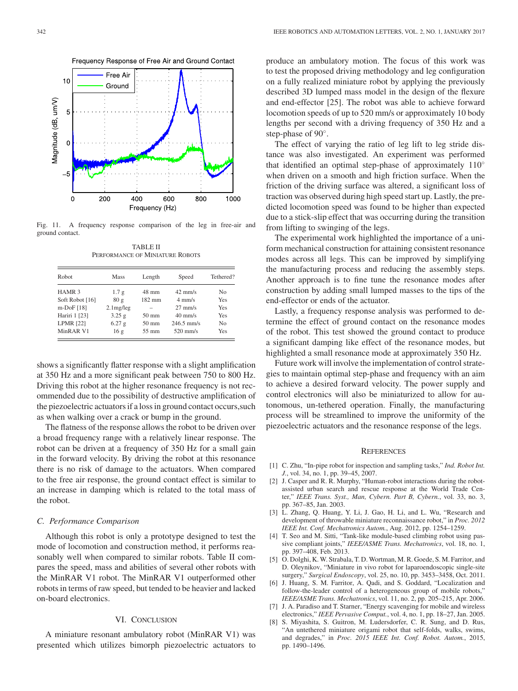

Fig. 11. A frequency response comparison of the leg in free-air and ground contact.

TABLE II PERFORMANCE OF MINIATURE ROBOTS

| Robot             | Mass      | Length           | Speed             | Tethered? |
|-------------------|-----------|------------------|-------------------|-----------|
| HAMR <sub>3</sub> | 1.7g      | $48$ mm          | $42 \text{ mm/s}$ | No        |
| Soft Robot [16]   | 80g       | $182 \text{ mm}$ | $4 \text{ mm/s}$  | Yes       |
| m-DoF [18]        | 2.1mg/leg |                  | $27 \text{ mm/s}$ | Yes       |
| Hariri 1 [23]     | $3.25$ g  | $50 \text{ mm}$  | $40 \text{ mm/s}$ | Yes       |
| <b>LPMR [22]</b>  | 6.27g     | $50 \text{ mm}$  | $246.5$ mm/s      | No        |
| MinRAR V1         | 16g       | $55 \text{ mm}$  | $520$ mm/s        | Yes       |

shows a significantly flatter response with a slight amplification at 350 Hz and a more significant peak between 750 to 800 Hz. Driving this robot at the higher resonance frequency is not recommended due to the possibility of destructive amplification of the piezoelectric actuators if a loss in ground contact occurs,such as when walking over a crack or bump in the ground.

The flatness of the response allows the robot to be driven over a broad frequency range with a relatively linear response. The robot can be driven at a frequency of 350 Hz for a small gain in the forward velocity. By driving the robot at this resonance there is no risk of damage to the actuators. When compared to the free air response, the ground contact effect is similar to an increase in damping which is related to the total mass of the robot.

#### *C. Performance Comparison*

Although this robot is only a prototype designed to test the mode of locomotion and construction method, it performs reasonably well when compared to similar robots. Table II compares the speed, mass and abilities of several other robots with the MinRAR V1 robot. The MinRAR V1 outperformed other robots in terms of raw speed, but tended to be heavier and lacked on-board electronics.

# VI. CONCLUSION

A miniature resonant ambulatory robot (MinRAR V1) was presented which utilizes bimorph piezoelectric actuators to produce an ambulatory motion. The focus of this work was to test the proposed driving methodology and leg configuration on a fully realized miniature robot by applying the previously described 3D lumped mass model in the design of the flexure and end-effector [25]. The robot was able to achieve forward locomotion speeds of up to 520 mm/s or approximately 10 body lengths per second with a driving frequency of 350 Hz and a step-phase of 90°.

The effect of varying the ratio of leg lift to leg stride distance was also investigated. An experiment was performed that identified an optimal step-phase of approximately  $110°$ when driven on a smooth and high friction surface. When the friction of the driving surface was altered, a significant loss of traction was observed during high speed start up. Lastly, the predicted locomotion speed was found to be higher than expected due to a stick-slip effect that was occurring during the transition from lifting to swinging of the legs.

The experimental work highlighted the importance of a uniform mechanical construction for attaining consistent resonance modes across all legs. This can be improved by simplifying the manufacturing process and reducing the assembly steps. Another approach is to fine tune the resonance modes after construction by adding small lumped masses to the tips of the end-effector or ends of the actuator.

Lastly, a frequency response analysis was performed to determine the effect of ground contact on the resonance modes of the robot. This test showed the ground contact to produce a significant damping like effect of the resonance modes, but highlighted a small resonance mode at approximately 350 Hz.

Future work will involve the implementation of control strategies to maintain optimal step-phase and frequency with an aim to achieve a desired forward velocity. The power supply and control electronics will also be miniaturized to allow for autonomous, un-tethered operation. Finally, the manufacturing process will be streamlined to improve the uniformity of the piezoelectric actuators and the resonance response of the legs.

## **REFERENCES**

- [1] C. Zhu, "In-pipe robot for inspection and sampling tasks," *Ind. Robot Int. J.*, vol. 34, no. 1, pp. 39–45, 2007.
- [2] J. Casper and R. R. Murphy, "Human-robot interactions during the robotassisted urban search and rescue response at the World Trade Center," *IEEE Trans. Syst., Man, Cybern. Part B, Cybern.*, vol. 33, no. 3, pp. 367–85, Jan. 2003.
- [3] L. Zhang, Q. Huang, Y. Li, J. Gao, H. Li, and L. Wu, "Research and development of throwable miniature reconnaissance robot," in *Proc. 2012 IEEE Int. Conf. Mechatronics Autom.*, Aug. 2012, pp. 1254–1259.
- [4] T. Seo and M. Sitti, "Tank-like module-based climbing robot using passive compliant joints," *IEEE/ASME Trans. Mechatronics*, vol. 18, no. 1, pp. 397–408, Feb. 2013.
- [5] O. Dolghi, K. W. Strabala, T. D. Wortman, M. R. Goede, S. M. Farritor, and D. Oleynikov, "Miniature in vivo robot for laparoendoscopic single-site surgery," *Surgical Endoscopy*, vol. 25, no. 10, pp. 3453–3458, Oct. 2011.
- [6] J. Huang, S. M. Farritor, A. Qadi, and S. Goddard, "Localization and follow-the-leader control of a heterogeneous group of mobile robots," *IEEE/ASME Trans. Mechatronics*, vol. 11, no. 2, pp. 205–215, Apr. 2006.
- [7] J. A. Paradiso and T. Starner, "Energy scavenging for mobile and wireless electronics," *IEEE Pervasive Comput.*, vol. 4, no. 1, pp. 18–27, Jan. 2005.
- [8] S. Miyashita, S. Guitron, M. Ludersdorfer, C. R. Sung, and D. Rus, "An untethered miniature origami robot that self-folds, walks, swims, and degrades," in *Proc. 2015 IEEE Int. Conf. Robot. Autom.*, 2015, pp. 1490–1496.